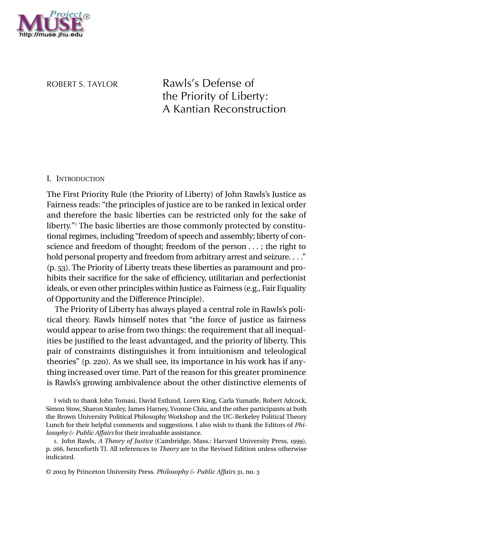

ROBERT S. TAYLOR **Rawls's Defense of** the Priority of Liberty: A Kantian Reconstruction

#### I. INTRODUCTION

The First Priority Rule (the Priority of Liberty) of John Rawls's Justice as Fairness reads: "the principles of justice are to be ranked in lexical order and therefore the basic liberties can be restricted only for the sake of liberty."<sup>1</sup> The basic liberties are those commonly protected by constitutional regimes, including "freedom of speech and assembly; liberty of conscience and freedom of thought; freedom of the person . . . ; the right to hold personal property and freedom from arbitrary arrest and seizure. . . ." (p. 53). The Priority of Liberty treats these liberties as paramount and prohibits their sacrifice for the sake of efficiency, utilitarian and perfectionist ideals, or even other principles within Justice as Fairness (e.g., Fair Equality of Opportunity and the Difference Principle).

The Priority of Liberty has always played a central role in Rawls's political theory. Rawls himself notes that "the force of justice as fairness would appear to arise from two things: the requirement that all inequalities be justified to the least advantaged, and the priority of liberty. This pair of constraints distinguishes it from intuitionism and teleological theories" (p. 220). As we shall see, its importance in his work has if anything increased over time. Part of the reason for this greater prominence is Rawls's growing ambivalence about the other distinctive elements of

I wish to thank John Tomasi, David Estlund, Loren King, Carla Yumatle, Robert Adcock, Simon Stow, Sharon Stanley, James Harney, Yvonne Chiu, and the other participants at both the Brown University Political Philosophy Workshop and the UC-Berkeley Political Theory Lunch for their helpful comments and suggestions. I also wish to thank the Editors of *Philosophy & Public Affairs* for their invaluable assistance.

1. John Rawls, *A Theory of Justice* (Cambridge, Mass.: Harvard University Press, 1999), p. 266, henceforth TJ. All references to *Theory* are to the Revised Edition unless otherwise indicated.

© 2003 by Princeton University Press. *Philosophy & Public Affairs* 31, no. 3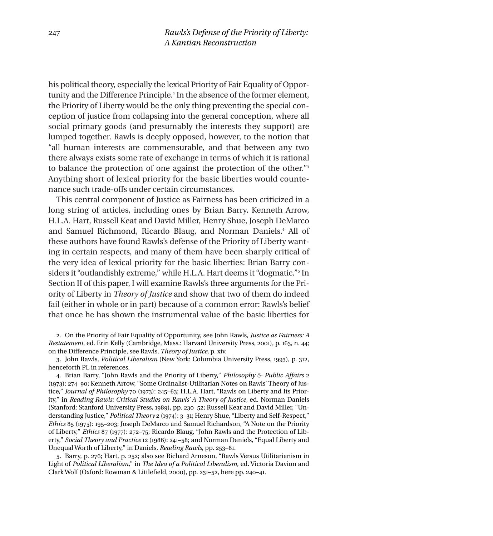his political theory, especially the lexical Priority of Fair Equality of Opportunity and the Difference Principle.<sup>2</sup> In the absence of the former element, the Priority of Liberty would be the only thing preventing the special conception of justice from collapsing into the general conception, where all social primary goods (and presumably the interests they support) are lumped together. Rawls is deeply opposed, however, to the notion that "all human interests are commensurable, and that between any two there always exists some rate of exchange in terms of which it is rational to balance the protection of one against the protection of the other."<sup>3</sup> Anything short of lexical priority for the basic liberties would countenance such trade-offs under certain circumstances.

This central component of Justice as Fairness has been criticized in a long string of articles, including ones by Brian Barry, Kenneth Arrow, H.L.A. Hart, Russell Keat and David Miller, Henry Shue, Joseph DeMarco and Samuel Richmond, Ricardo Blaug, and Norman Daniels.<sup>4</sup> All of these authors have found Rawls's defense of the Priority of Liberty wanting in certain respects, and many of them have been sharply critical of the very idea of lexical priority for the basic liberties: Brian Barry considers it "outlandishly extreme," while H.L.A. Hart deems it "dogmatic."<sup>5</sup> In Section II of this paper, I will examine Rawls's three arguments for the Priority of Liberty in *Theory of Justice* and show that two of them do indeed fail (either in whole or in part) because of a common error: Rawls's belief that once he has shown the instrumental value of the basic liberties for

2. On the Priority of Fair Equality of Opportunity, see John Rawls, *Justice as Fairness: A Restatement*, ed. Erin Kelly (Cambridge, Mass.: Harvard University Press, 2001), p. 163, n. 44; on the Difference Principle, see Rawls, *Theory of Justice*, p. xiv.

3. John Rawls, *Political Liberalism* (New York: Columbia University Press, 1993), p. 312, henceforth PL in references.

4. Brian Barry, "John Rawls and the Priority of Liberty," *Philosophy & Public Affairs* 2 (1973): 274–90; Kenneth Arrow, "Some Ordinalist-Utilitarian Notes on Rawls' Theory of Justice," *Journal of Philosophy* 70 (1973): 245–63; H.L.A. Hart, "Rawls on Liberty and Its Priority," in *Reading Rawls: Critical Studies on Rawls' A Theory of Justice,* ed. Norman Daniels (Stanford: Stanford University Press, 1989), pp. 230–52; Russell Keat and David Miller, "Understanding Justice," *Political Theory* 2 (1974): 3–31; Henry Shue, "Liberty and Self-Respect," *Ethics* 85 (1975): 195–203; Joseph DeMarco and Samuel Richardson, "A Note on the Priority of Liberty," *Ethics* 87 (1977): 272–75; Ricardo Blaug, "John Rawls and the Protection of Liberty," *Social Theory and Practice* 12 (1986): 241–58; and Norman Daniels, "Equal Liberty and Unequal Worth of Liberty," in Daniels, *Reading Rawls*, pp. 253–81.

5. Barry, p. 276; Hart, p. 252; also see Richard Arneson, "Rawls Versus Utilitarianism in Light of *Political Liberalism*," in *The Idea of a Political Liberalism*, ed. Victoria Davion and Clark Wolf (Oxford: Rowman & Littlefield, 2000)*,* pp. 231–52, here pp. 240–41.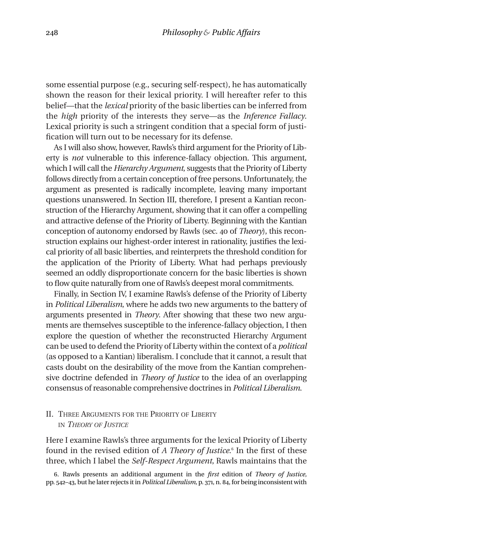some essential purpose (e.g., securing self-respect), he has automatically shown the reason for their lexical priority. I will hereafter refer to this belief—that the *lexical* priority of the basic liberties can be inferred from the *high* priority of the interests they serve—as the *Inference Fallacy*. Lexical priority is such a stringent condition that a special form of justification will turn out to be necessary for its defense.

As I will also show, however, Rawls's third argument for the Priority of Liberty is *not* vulnerable to this inference-fallacy objection. This argument, which I will call the *Hierarchy Argument*, suggests that the Priority of Liberty follows directly from a certain conception of free persons. Unfortunately, the argument as presented is radically incomplete, leaving many important questions unanswered. In Section III, therefore, I present a Kantian reconstruction of the Hierarchy Argument, showing that it can offer a compelling and attractive defense of the Priority of Liberty. Beginning with the Kantian conception of autonomy endorsed by Rawls (sec. 40 of *Theory*), this reconstruction explains our highest-order interest in rationality, justifies the lexical priority of all basic liberties, and reinterprets the threshold condition for the application of the Priority of Liberty. What had perhaps previously seemed an oddly disproportionate concern for the basic liberties is shown to flow quite naturally from one of Rawls's deepest moral commitments.

Finally, in Section IV, I examine Rawls's defense of the Priority of Liberty in *Political Liberalism*, where he adds two new arguments to the battery of arguments presented in *Theory*. After showing that these two new arguments are themselves susceptible to the inference-fallacy objection, I then explore the question of whether the reconstructed Hierarchy Argument can be used to defend the Priority of Liberty within the context of a *political* (as opposed to a Kantian) liberalism. I conclude that it cannot, a result that casts doubt on the desirability of the move from the Kantian comprehensive doctrine defended in *Theory of Justice* to the idea of an overlapping consensus of reasonable comprehensive doctrines in *Political Liberalism*.

## II. THREE ARGUMENTS FOR THE PRIORITY OF LIBERTY IN *THEORY OF JUSTICE*

Here I examine Rawls's three arguments for the lexical Priority of Liberty found in the revised edition of *A Theory of Justice*. <sup>6</sup> In the first of these three, which I label the *Self-Respect Argument*, Rawls maintains that the

6. Rawls presents an additional argument in the *first* edition of *Theory of Justice,* pp. 542–43, but he later rejects it in *Political Liberalism,* p. 371, n. 84, for being inconsistent with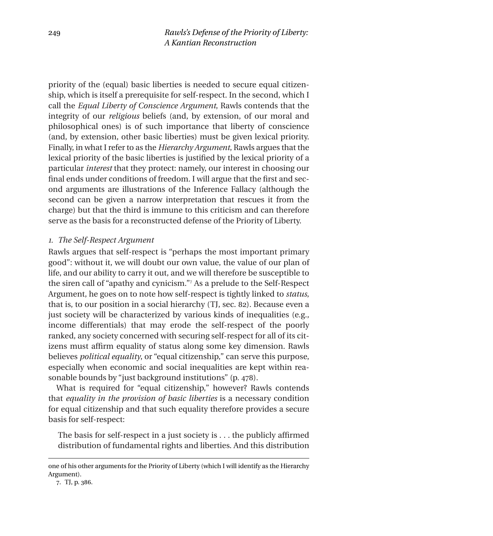priority of the (equal) basic liberties is needed to secure equal citizenship, which is itself a prerequisite for self-respect. In the second, which I call the *Equal Liberty of Conscience Argument*, Rawls contends that the integrity of our *religious* beliefs (and, by extension, of our moral and philosophical ones) is of such importance that liberty of conscience (and, by extension, other basic liberties) must be given lexical priority. Finally, in what I refer to as the *Hierarchy Argument*, Rawls argues that the lexical priority of the basic liberties is justified by the lexical priority of a particular *interest* that they protect: namely, our interest in choosing our final ends under conditions of freedom. I will argue that the first and second arguments are illustrations of the Inference Fallacy (although the second can be given a narrow interpretation that rescues it from the charge) but that the third is immune to this criticism and can therefore serve as the basis for a reconstructed defense of the Priority of Liberty.

## *1. The Self-Respect Argument*

Rawls argues that self-respect is "perhaps the most important primary good": without it, we will doubt our own value, the value of our plan of life, and our ability to carry it out, and we will therefore be susceptible to the siren call of "apathy and cynicism."<sup>7</sup> As a prelude to the Self-Respect Argument, he goes on to note how self-respect is tightly linked to *status*, that is, to our position in a social hierarchy (TJ, sec. 82). Because even a just society will be characterized by various kinds of inequalities (e.g., income differentials) that may erode the self-respect of the poorly ranked, any society concerned with securing self-respect for all of its citizens must affirm equality of status along some key dimension. Rawls believes *political equality*, or "equal citizenship," can serve this purpose, especially when economic and social inequalities are kept within reasonable bounds by "just background institutions" (p. 478).

What is required for "equal citizenship," however? Rawls contends that *equality in the provision of basic liberties* is a necessary condition for equal citizenship and that such equality therefore provides a secure basis for self-respect:

The basis for self-respect in a just society is ... the publicly affirmed distribution of fundamental rights and liberties. And this distribution

7. TJ, p. 386.

one of his other arguments for the Priority of Liberty (which I will identify as the Hierarchy Argument).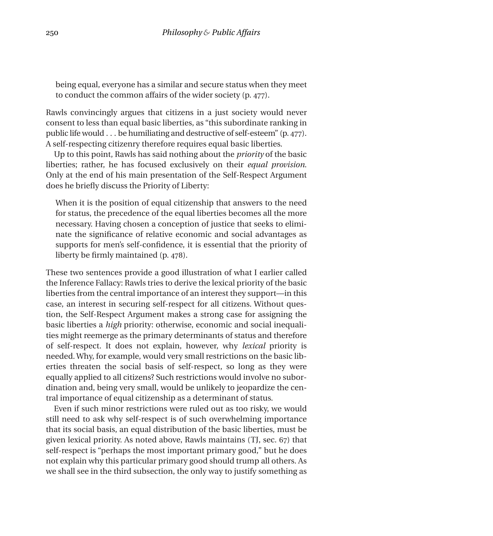being equal, everyone has a similar and secure status when they meet to conduct the common affairs of the wider society (p. 477).

Rawls convincingly argues that citizens in a just society would never consent to less than equal basic liberties, as "this subordinate ranking in public life would ... be humiliating and destructive of self-esteem" (p. 477). A self-respecting citizenry therefore requires equal basic liberties.

Up to this point, Rawls has said nothing about the *priority* of the basic liberties; rather, he has focused exclusively on their *equal provision*. Only at the end of his main presentation of the Self-Respect Argument does he briefly discuss the Priority of Liberty:

When it is the position of equal citizenship that answers to the need for status, the precedence of the equal liberties becomes all the more necessary. Having chosen a conception of justice that seeks to eliminate the significance of relative economic and social advantages as supports for men's self-confidence, it is essential that the priority of liberty be firmly maintained (p. 478).

These two sentences provide a good illustration of what I earlier called the Inference Fallacy: Rawls tries to derive the lexical priority of the basic liberties from the central importance of an interest they support—in this case, an interest in securing self-respect for all citizens. Without question, the Self-Respect Argument makes a strong case for assigning the basic liberties a *high* priority: otherwise, economic and social inequalities might reemerge as the primary determinants of status and therefore of self-respect. It does not explain, however, why *lexical* priority is needed. Why, for example, would very small restrictions on the basic liberties threaten the social basis of self-respect, so long as they were equally applied to all citizens? Such restrictions would involve no subordination and, being very small, would be unlikely to jeopardize the central importance of equal citizenship as a determinant of status.

Even if such minor restrictions were ruled out as too risky, we would still need to ask why self-respect is of such overwhelming importance that its social basis, an equal distribution of the basic liberties, must be given lexical priority. As noted above, Rawls maintains (TJ, sec. 67) that self-respect is "perhaps the most important primary good," but he does not explain why this particular primary good should trump all others. As we shall see in the third subsection, the only way to justify something as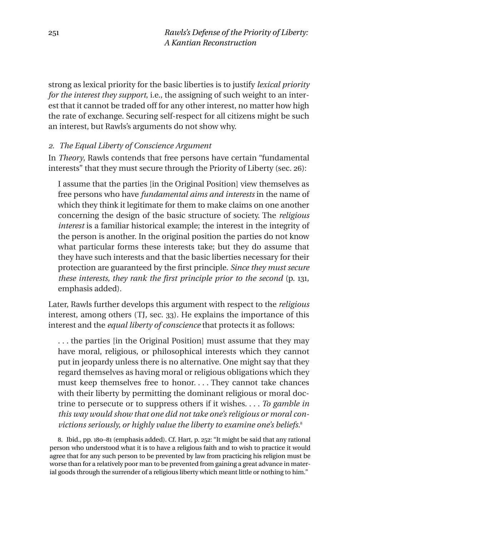strong as lexical priority for the basic liberties is to justify *lexical priority for the interest they support*, i.e., the assigning of such weight to an interest that it cannot be traded off for any other interest, no matter how high the rate of exchange. Securing self-respect for all citizens might be such an interest, but Rawls's arguments do not show why.

## *2. The Equal Liberty of Conscience Argument*

In *Theory*, Rawls contends that free persons have certain "fundamental interests" that they must secure through the Priority of Liberty (sec. 26):

I assume that the parties [in the Original Position] view themselves as free persons who have *fundamental aims and interests* in the name of which they think it legitimate for them to make claims on one another concerning the design of the basic structure of society. The *religious interest* is a familiar historical example; the interest in the integrity of the person is another. In the original position the parties do not know what particular forms these interests take; but they do assume that they have such interests and that the basic liberties necessary for their protection are guaranteed by the first principle. *Since they must secure these interests, they rank the first principle prior to the second* (p. 131, emphasis added).

Later, Rawls further develops this argument with respect to the *religious* interest, among others (TJ, sec. 33). He explains the importance of this interest and the *equal liberty of conscience* that protects it as follows:

... the parties [in the Original Position] must assume that they may have moral, religious, or philosophical interests which they cannot put in jeopardy unless there is no alternative. One might say that they regard themselves as having moral or religious obligations which they must keep themselves free to honor.... They cannot take chances with their liberty by permitting the dominant religious or moral doctrine to persecute or to suppress others if it wishes.... *To gamble in this way would show that one did not take one's religious or moral convictions seriously, or highly value the liberty to examine one's beliefs.*<sup>8</sup>

8. Ibid., pp. 180–81 (emphasis added). Cf. Hart, p. 252: "It might be said that any rational person who understood what it is to have a religious faith and to wish to practice it would agree that for any such person to be prevented by law from practicing his religion must be worse than for a relatively poor man to be prevented from gaining a great advance in material goods through the surrender of a religious liberty which meant little or nothing to him."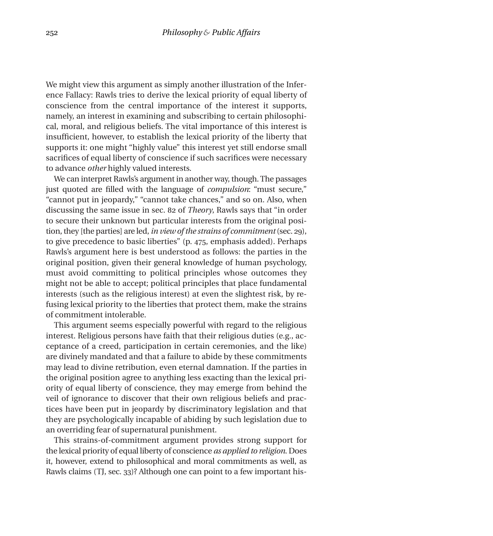We might view this argument as simply another illustration of the Inference Fallacy: Rawls tries to derive the lexical priority of equal liberty of conscience from the central importance of the interest it supports, namely, an interest in examining and subscribing to certain philosophical, moral, and religious beliefs. The vital importance of this interest is insufficient, however, to establish the lexical priority of the liberty that supports it: one might "highly value" this interest yet still endorse small sacrifices of equal liberty of conscience if such sacrifices were necessary to advance *other* highly valued interests.

We can interpret Rawls's argument in another way, though. The passages just quoted are filled with the language of *compulsion*: "must secure," "cannot put in jeopardy," "cannot take chances," and so on. Also, when discussing the same issue in sec. 82 of *Theory*, Rawls says that "in order to secure their unknown but particular interests from the original position, they [the parties] are led, *in view of the strains of commitment*(sec. 29), to give precedence to basic liberties" (p. 475, emphasis added). Perhaps Rawls's argument here is best understood as follows: the parties in the original position, given their general knowledge of human psychology, must avoid committing to political principles whose outcomes they might not be able to accept; political principles that place fundamental interests (such as the religious interest) at even the slightest risk, by refusing lexical priority to the liberties that protect them, make the strains of commitment intolerable.

This argument seems especially powerful with regard to the religious interest. Religious persons have faith that their religious duties (e.g., acceptance of a creed, participation in certain ceremonies, and the like) are divinely mandated and that a failure to abide by these commitments may lead to divine retribution, even eternal damnation. If the parties in the original position agree to anything less exacting than the lexical priority of equal liberty of conscience, they may emerge from behind the veil of ignorance to discover that their own religious beliefs and practices have been put in jeopardy by discriminatory legislation and that they are psychologically incapable of abiding by such legislation due to an overriding fear of supernatural punishment.

This strains-of-commitment argument provides strong support for the lexical priority of equal liberty of conscience *as applied to religion*. Does it, however, extend to philosophical and moral commitments as well, as Rawls claims (TJ, sec. 33)? Although one can point to a few important his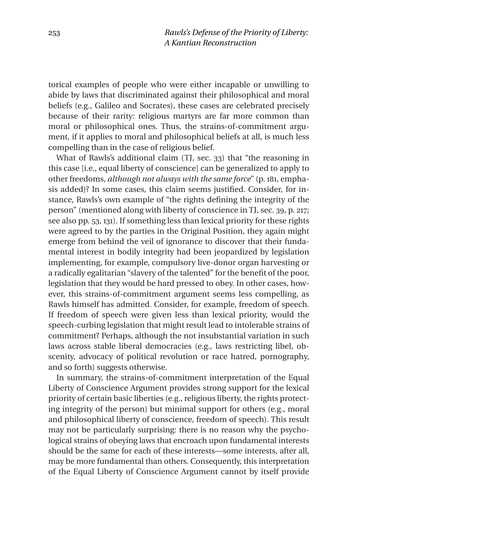torical examples of people who were either incapable or unwilling to abide by laws that discriminated against their philosophical and moral beliefs (e.g., Galileo and Socrates), these cases are celebrated precisely because of their rarity: religious martyrs are far more common than moral or philosophical ones. Thus, the strains-of-commitment argument, if it applies to moral and philosophical beliefs at all, is much less compelling than in the case of religious belief.

What of Rawls's additional claim (TJ, sec. 33) that "the reasoning in this case [i.e., equal liberty of conscience] can be generalized to apply to other freedoms, *although not always with the same force*" (p. 181, emphasis added)? In some cases, this claim seems justified. Consider, for instance, Rawls's own example of "the rights defining the integrity of the person" (mentioned along with liberty of conscience in TJ, sec. 39, p. 217; see also pp. 53, 131). If something less than lexical priority for these rights were agreed to by the parties in the Original Position, they again might emerge from behind the veil of ignorance to discover that their fundamental interest in bodily integrity had been jeopardized by legislation implementing, for example, compulsory live-donor organ harvesting or a radically egalitarian "slavery of the talented" for the benefit of the poor, legislation that they would be hard pressed to obey. In other cases, however, this strains-of-commitment argument seems less compelling, as Rawls himself has admitted. Consider, for example, freedom of speech. If freedom of speech were given less than lexical priority, would the speech-curbing legislation that might result lead to intolerable strains of commitment? Perhaps, although the not insubstantial variation in such laws across stable liberal democracies (e.g., laws restricting libel, obscenity, advocacy of political revolution or race hatred, pornography, and so forth) suggests otherwise.

In summary, the strains-of-commitment interpretation of the Equal Liberty of Conscience Argument provides strong support for the lexical priority of certain basic liberties (e.g., religious liberty, the rights protecting integrity of the person) but minimal support for others (e.g., moral and philosophical liberty of conscience, freedom of speech). This result may not be particularly surprising: there is no reason why the psychological strains of obeying laws that encroach upon fundamental interests should be the same for each of these interests—some interests, after all, may be more fundamental than others. Consequently, this interpretation of the Equal Liberty of Conscience Argument cannot by itself provide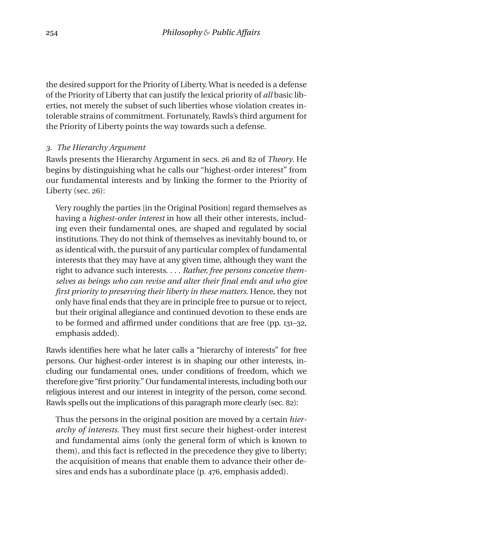the desired support for the Priority of Liberty. What is needed is a defense of the Priority of Liberty that can justify the lexical priority of *all* basic liberties, not merely the subset of such liberties whose violation creates intolerable strains of commitment. Fortunately, Rawls's third argument for the Priority of Liberty points the way towards such a defense.

## *3. The Hierarchy Argument*

Rawls presents the Hierarchy Argument in secs. 26 and 82 of *Theory*. He begins by distinguishing what he calls our "highest-order interest" from our fundamental interests and by linking the former to the Priority of Liberty (sec. 26):

Very roughly the parties [in the Original Position] regard themselves as having a *highest-order interest* in how all their other interests, including even their fundamental ones, are shaped and regulated by social institutions. They do not think of themselves as inevitably bound to, or as identical with, the pursuit of any particular complex of fundamental interests that they may have at any given time, although they want the right to advance such interests.... *Rather, free persons conceive themselves as beings who can revise and alter their final ends and who give first priority to preserving their liberty in these matters.* Hence, they not only have final ends that they are in principle free to pursue or to reject, but their original allegiance and continued devotion to these ends are to be formed and affirmed under conditions that are free (pp. 131–32, emphasis added).

Rawls identifies here what he later calls a "hierarchy of interests" for free persons. Our highest-order interest is in shaping our other interests, including our fundamental ones, under conditions of freedom, which we therefore give "first priority." Our fundamental interests, including both our religious interest and our interest in integrity of the person, come second. Rawls spells out the implications of this paragraph more clearly (sec. 82):

Thus the persons in the original position are moved by a certain *hierarchy of interests*. They must first secure their highest-order interest and fundamental aims (only the general form of which is known to them), and this fact is reflected in the precedence they give to liberty; the acquisition of means that enable them to advance their other desires and ends has a subordinate place (p. 476, emphasis added).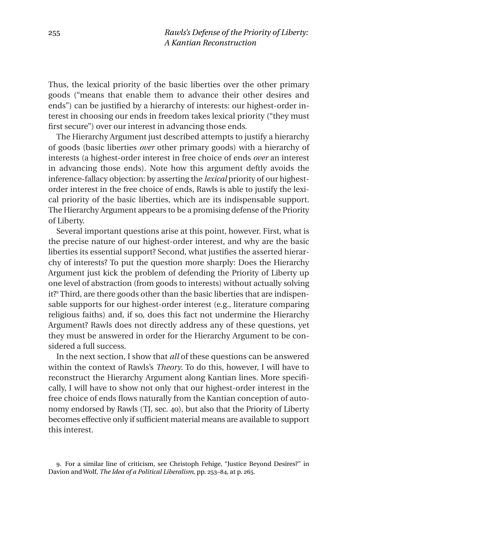Thus, the lexical priority of the basic liberties over the other primary goods ("means that enable them to advance their other desires and ends") can be justified by a hierarchy of interests: our highest-order interest in choosing our ends in freedom takes lexical priority ("they must first secure") over our interest in advancing those ends.

The Hierarchy Argument just described attempts to justify a hierarchy of goods (basic liberties *over* other primary goods) with a hierarchy of interests (a highest-order interest in free choice of ends *over* an interest in advancing those ends). Note how this argument deftly avoids the inference-fallacy objection: by asserting the *lexical* priority of our highestorder interest in the free choice of ends, Rawls is able to justify the lexical priority of the basic liberties, which are its indispensable support. The Hierarchy Argument appears to be a promising defense of the Priority of Liberty.

Several important questions arise at this point, however. First, what is the precise nature of our highest-order interest, and why are the basic liberties its essential support? Second, what justifies the asserted hierarchy of interests? To put the question more sharply: Does the Hierarchy Argument just kick the problem of defending the Priority of Liberty up one level of abstraction (from goods to interests) without actually solving it?<sup>9</sup> Third, are there goods other than the basic liberties that are indispensable supports for our highest-order interest (e.g., literature comparing religious faiths) and, if so, does this fact not undermine the Hierarchy Argument? Rawls does not directly address any of these questions, yet they must be answered in order for the Hierarchy Argument to be considered a full success.

In the next section, I show that *all* of these questions can be answered within the context of Rawls's *Theory*. To do this, however, I will have to reconstruct the Hierarchy Argument along Kantian lines. More specifically, I will have to show not only that our highest-order interest in the free choice of ends flows naturally from the Kantian conception of autonomy endorsed by Rawls (TJ, sec. 40), but also that the Priority of Liberty becomes effective only if sufficient material means are available to support this interest.

<sup>9.</sup> For a similar line of criticism, see Christoph Fehige, "Justice Beyond Desires?" in Davion and Wolf, *The Idea of a Political Liberalism*, pp. 253–84, at p. 265.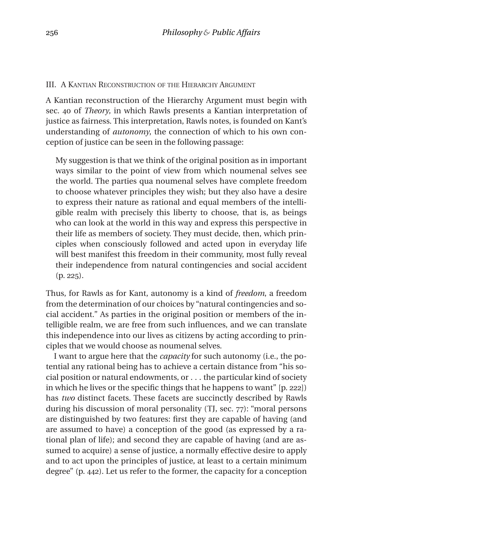#### III. A KANTIAN RECONSTRUCTION OF THE HIERARCHY ARGUMENT

A Kantian reconstruction of the Hierarchy Argument must begin with sec. 40 of *Theory*, in which Rawls presents a Kantian interpretation of justice as fairness. This interpretation, Rawls notes, is founded on Kant's understanding of *autonomy*, the connection of which to his own conception of justice can be seen in the following passage:

My suggestion is that we think of the original position as in important ways similar to the point of view from which noumenal selves see the world. The parties qua noumenal selves have complete freedom to choose whatever principles they wish; but they also have a desire to express their nature as rational and equal members of the intelligible realm with precisely this liberty to choose, that is, as beings who can look at the world in this way and express this perspective in their life as members of society. They must decide, then, which principles when consciously followed and acted upon in everyday life will best manifest this freedom in their community, most fully reveal their independence from natural contingencies and social accident (p. 225).

Thus, for Rawls as for Kant, autonomy is a kind of *freedom*, a freedom from the determination of our choices by "natural contingencies and social accident." As parties in the original position or members of the intelligible realm, we are free from such influences, and we can translate this independence into our lives as citizens by acting according to principles that we would choose as noumenal selves.

I want to argue here that the *capacity* for such autonomy (i.e., the potential any rational being has to achieve a certain distance from "his social position or natural endowments, or ... the particular kind of society in which he lives or the specific things that he happens to want" [p. 222]) has *two* distinct facets. These facets are succinctly described by Rawls during his discussion of moral personality (TJ, sec. 77): "moral persons are distinguished by two features: first they are capable of having (and are assumed to have) a conception of the good (as expressed by a rational plan of life); and second they are capable of having (and are assumed to acquire) a sense of justice, a normally effective desire to apply and to act upon the principles of justice, at least to a certain minimum degree" (p. 442). Let us refer to the former, the capacity for a conception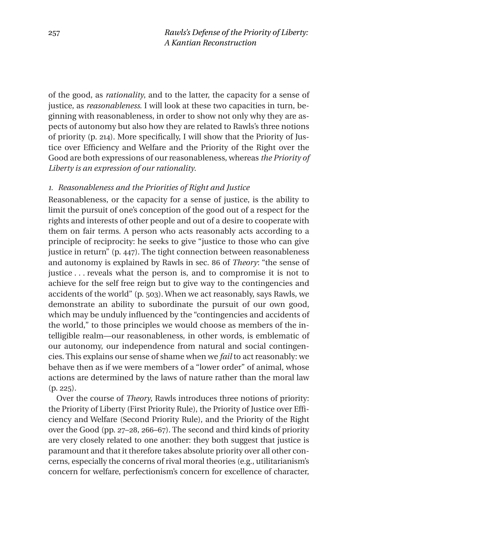of the good, as *rationality*, and to the latter, the capacity for a sense of justice, as *reasonableness*. I will look at these two capacities in turn, beginning with reasonableness, in order to show not only why they are aspects of autonomy but also how they are related to Rawls's three notions of priority (p. 214). More specifically, I will show that the Priority of Justice over Efficiency and Welfare and the Priority of the Right over the Good are both expressions of our reasonableness, whereas *the Priority of Liberty is an expression of our rationality*.

## *1. Reasonableness and the Priorities of Right and Justice*

Reasonableness, or the capacity for a sense of justice, is the ability to limit the pursuit of one's conception of the good out of a respect for the rights and interests of other people and out of a desire to cooperate with them on fair terms. A person who acts reasonably acts according to a principle of reciprocity: he seeks to give "justice to those who can give justice in return" (p. 447). The tight connection between reasonableness and autonomy is explained by Rawls in sec. 86 of *Theory*: "the sense of justice . . . reveals what the person is, and to compromise it is not to achieve for the self free reign but to give way to the contingencies and accidents of the world" (p. 503). When we act reasonably, says Rawls, we demonstrate an ability to subordinate the pursuit of our own good, which may be unduly influenced by the "contingencies and accidents of the world," to those principles we would choose as members of the intelligible realm—our reasonableness, in other words, is emblematic of our autonomy, our independence from natural and social contingencies. This explains our sense of shame when we *fail* to act reasonably: we behave then as if we were members of a "lower order" of animal, whose actions are determined by the laws of nature rather than the moral law (p. 225).

Over the course of *Theory*, Rawls introduces three notions of priority: the Priority of Liberty (First Priority Rule), the Priority of Justice over Efficiency and Welfare (Second Priority Rule), and the Priority of the Right over the Good (pp. 27–28, 266–67). The second and third kinds of priority are very closely related to one another: they both suggest that justice is paramount and that it therefore takes absolute priority over all other concerns, especially the concerns of rival moral theories (e.g., utilitarianism's concern for welfare, perfectionism's concern for excellence of character,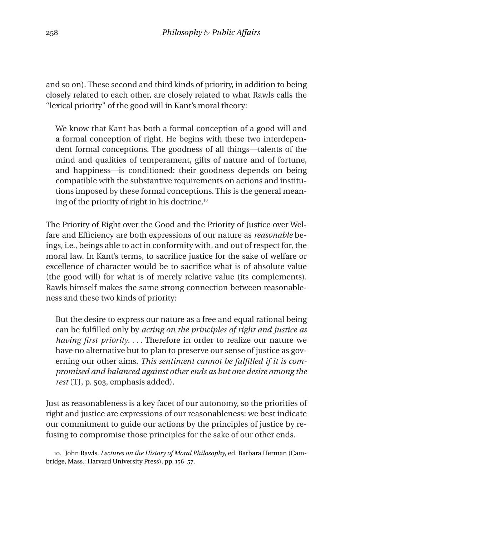and so on). These second and third kinds of priority, in addition to being closely related to each other, are closely related to what Rawls calls the "lexical priority" of the good will in Kant's moral theory:

We know that Kant has both a formal conception of a good will and a formal conception of right. He begins with these two interdependent formal conceptions. The goodness of all things—talents of the mind and qualities of temperament, gifts of nature and of fortune, and happiness—is conditioned: their goodness depends on being compatible with the substantive requirements on actions and institutions imposed by these formal conceptions. This is the general meaning of the priority of right in his doctrine.<sup>10</sup>

The Priority of Right over the Good and the Priority of Justice over Welfare and Efficiency are both expressions of our nature as *reasonable* beings, i.e., beings able to act in conformity with, and out of respect for, the moral law. In Kant's terms, to sacrifice justice for the sake of welfare or excellence of character would be to sacrifice what is of absolute value (the good will) for what is of merely relative value (its complements). Rawls himself makes the same strong connection between reasonableness and these two kinds of priority:

But the desire to express our nature as a free and equal rational being can be fulfilled only by *acting on the principles of right and justice as having first priority*.... Therefore in order to realize our nature we have no alternative but to plan to preserve our sense of justice as governing our other aims. *This sentiment cannot be fulfilled if it is compromised and balanced against other ends as but one desire among the rest* (TJ, p. 503, emphasis added).

Just as reasonableness is a key facet of our autonomy, so the priorities of right and justice are expressions of our reasonableness: we best indicate our commitment to guide our actions by the principles of justice by refusing to compromise those principles for the sake of our other ends.

10. John Rawls, *Lectures on the History of Moral Philosophy*, ed. Barbara Herman (Cambridge, Mass.: Harvard University Press), pp. 156–57.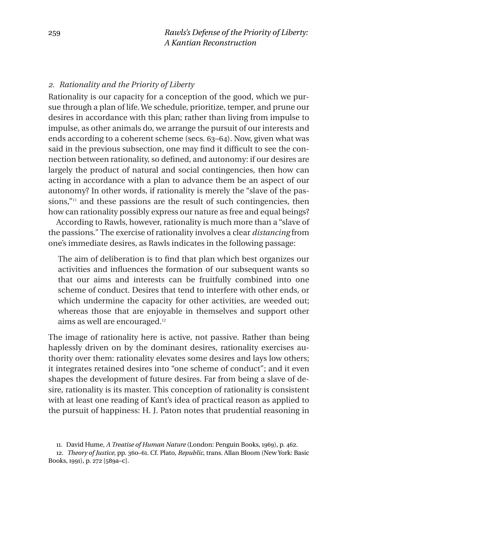#### *2. Rationality and the Priority of Liberty*

Rationality is our capacity for a conception of the good, which we pursue through a plan of life. We schedule, prioritize, temper, and prune our desires in accordance with this plan; rather than living from impulse to impulse, as other animals do, we arrange the pursuit of our interests and ends according to a coherent scheme (secs. 63–64). Now, given what was said in the previous subsection, one may find it difficult to see the connection between rationality, so defined, and autonomy: if our desires are largely the product of natural and social contingencies, then how can acting in accordance with a plan to advance them be an aspect of our autonomy? In other words, if rationality is merely the "slave of the passions,"<sup>11</sup> and these passions are the result of such contingencies, then how can rationality possibly express our nature as free and equal beings?

According to Rawls, however, rationality is much more than a "slave of the passions." The exercise of rationality involves a clear *distancing* from one's immediate desires, as Rawls indicates in the following passage:

The aim of deliberation is to find that plan which best organizes our activities and influences the formation of our subsequent wants so that our aims and interests can be fruitfully combined into one scheme of conduct. Desires that tend to interfere with other ends, or which undermine the capacity for other activities, are weeded out; whereas those that are enjoyable in themselves and support other aims as well are encouraged.<sup>12</sup>

The image of rationality here is active, not passive. Rather than being haplessly driven on by the dominant desires, rationality exercises authority over them: rationality elevates some desires and lays low others; it integrates retained desires into "one scheme of conduct"; and it even shapes the development of future desires. Far from being a slave of desire, rationality is its master. This conception of rationality is consistent with at least one reading of Kant's idea of practical reason as applied to the pursuit of happiness: H. J. Paton notes that prudential reasoning in

<sup>11.</sup> David Hume, *A Treatise of Human Nature* (London: Penguin Books, 1969), p. 462.

<sup>12.</sup> *Theory of Justice*, pp. 360–61. Cf. Plato, *Republic*, trans. Allan Bloom (New York: Basic Books, 1991), p. 272 [589a–c].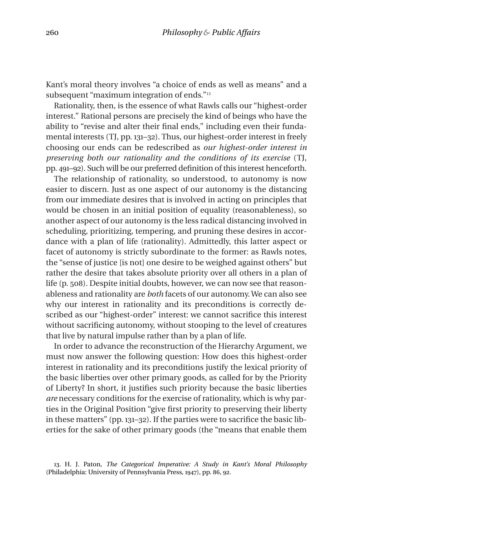Kant's moral theory involves "a choice of ends as well as means" and a subsequent "maximum integration of ends."<sup>13</sup>

Rationality, then, is the essence of what Rawls calls our "highest-order interest." Rational persons are precisely the kind of beings who have the ability to "revise and alter their final ends," including even their fundamental interests (TJ, pp. 131–32). Thus, our highest-order interest in freely choosing our ends can be redescribed as *our highest-order interest in preserving both our rationality and the conditions of its exercise* (TJ, pp. 491–92). Such will be our preferred definition of this interest henceforth.

The relationship of rationality, so understood, to autonomy is now easier to discern. Just as one aspect of our autonomy is the distancing from our immediate desires that is involved in acting on principles that would be chosen in an initial position of equality (reasonableness), so another aspect of our autonomy is the less radical distancing involved in scheduling, prioritizing, tempering, and pruning these desires in accordance with a plan of life (rationality). Admittedly, this latter aspect or facet of autonomy is strictly subordinate to the former: as Rawls notes, the "sense of justice [is not] one desire to be weighed against others" but rather the desire that takes absolute priority over all others in a plan of life (p. 508). Despite initial doubts, however, we can now see that reasonableness and rationality are *both* facets of our autonomy. We can also see why our interest in rationality and its preconditions is correctly described as our "highest-order" interest: we cannot sacrifice this interest without sacrificing autonomy, without stooping to the level of creatures that live by natural impulse rather than by a plan of life.

In order to advance the reconstruction of the Hierarchy Argument, we must now answer the following question: How does this highest-order interest in rationality and its preconditions justify the lexical priority of the basic liberties over other primary goods, as called for by the Priority of Liberty? In short, it justifies such priority because the basic liberties *are* necessary conditions for the exercise of rationality, which is why parties in the Original Position "give first priority to preserving their liberty in these matters" (pp. 131–32). If the parties were to sacrifice the basic liberties for the sake of other primary goods (the "means that enable them

<sup>13.</sup> H. J. Paton, *The Categorical Imperative: A Study in Kant's Moral Philosophy* (Philadelphia: University of Pennsylvania Press, 1947), pp. 86, 92.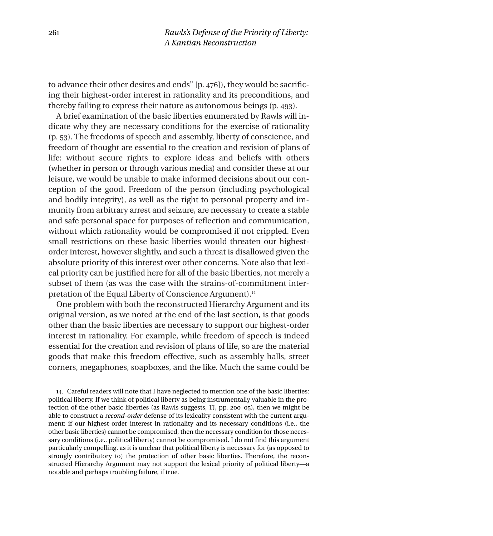to advance their other desires and ends" [p. 476]), they would be sacrificing their highest-order interest in rationality and its preconditions, and thereby failing to express their nature as autonomous beings (p. 493).

A brief examination of the basic liberties enumerated by Rawls will indicate why they are necessary conditions for the exercise of rationality (p. 53). The freedoms of speech and assembly, liberty of conscience, and freedom of thought are essential to the creation and revision of plans of life: without secure rights to explore ideas and beliefs with others (whether in person or through various media) and consider these at our leisure, we would be unable to make informed decisions about our conception of the good. Freedom of the person (including psychological and bodily integrity), as well as the right to personal property and immunity from arbitrary arrest and seizure, are necessary to create a stable and safe personal space for purposes of reflection and communication, without which rationality would be compromised if not crippled. Even small restrictions on these basic liberties would threaten our highestorder interest, however slightly, and such a threat is disallowed given the absolute priority of this interest over other concerns. Note also that lexical priority can be justified here for all of the basic liberties, not merely a subset of them (as was the case with the strains-of-commitment interpretation of the Equal Liberty of Conscience Argument).<sup>14</sup>

One problem with both the reconstructed Hierarchy Argument and its original version, as we noted at the end of the last section, is that goods other than the basic liberties are necessary to support our highest-order interest in rationality. For example, while freedom of speech is indeed essential for the creation and revision of plans of life, so are the material goods that make this freedom effective, such as assembly halls, street corners, megaphones, soapboxes, and the like. Much the same could be

14. Careful readers will note that I have neglected to mention one of the basic liberties: political liberty. If we think of political liberty as being instrumentally valuable in the protection of the other basic liberties (as Rawls suggests, TJ, pp. 200–05), then we might be able to construct a *second-order* defense of its lexicality consistent with the current argument: if our highest-order interest in rationality and its necessary conditions (i.e., the other basic liberties) cannot be compromised, then the necessary condition for those necessary conditions (i.e., political liberty) cannot be compromised. I do not find this argument particularly compelling, as it is unclear that political liberty is necessary for (as opposed to strongly contributory to) the protection of other basic liberties. Therefore, the reconstructed Hierarchy Argument may not support the lexical priority of political liberty—a notable and perhaps troubling failure, if true.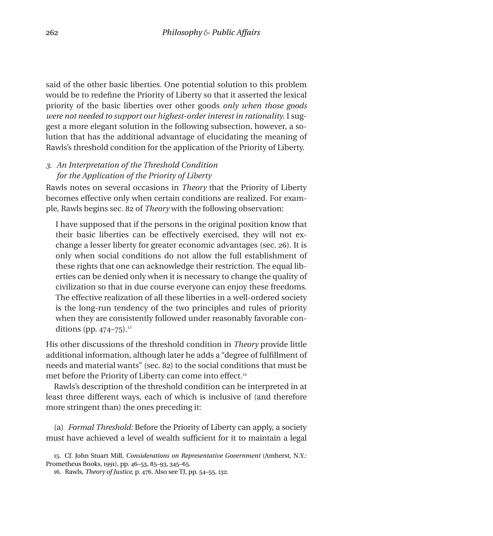said of the other basic liberties. One potential solution to this problem would be to redefine the Priority of Liberty so that it asserted the lexical priority of the basic liberties over other goods *only when those goods were not needed to support our highest-order interest in rationality*. I suggest a more elegant solution in the following subsection, however, a solution that has the additional advantage of elucidating the meaning of Rawls's threshold condition for the application of the Priority of Liberty.

# *3. An Interpretation of the Threshold Condition for the Application of the Priority of Liberty*

Rawls notes on several occasions in *Theory* that the Priority of Liberty becomes effective only when certain conditions are realized. For example, Rawls begins sec. 82 of *Theory* with the following observation:

I have supposed that if the persons in the original position know that their basic liberties can be effectively exercised, they will not exchange a lesser liberty for greater economic advantages (sec. 26). It is only when social conditions do not allow the full establishment of these rights that one can acknowledge their restriction. The equal liberties can be denied only when it is necessary to change the quality of civilization so that in due course everyone can enjoy these freedoms. The effective realization of all these liberties in a well-ordered society is the long-run tendency of the two principles and rules of priority when they are consistently followed under reasonably favorable conditions (pp.  $474-75$ ).<sup>15</sup>

His other discussions of the threshold condition in *Theory* provide little additional information, although later he adds a "degree of fulfillment of needs and material wants" (sec. 82) to the social conditions that must be met before the Priority of Liberty can come into effect.<sup>16</sup>

Rawls's description of the threshold condition can be interpreted in at least three different ways, each of which is inclusive of (and therefore more stringent than) the ones preceding it:

(a) *Formal Threshold:* Before the Priority of Liberty can apply, a society must have achieved a level of wealth sufficient for it to maintain a legal

<sup>15.</sup> Cf. John Stuart Mill, *Considerations on Representative Government* (Amherst, N.Y.: Prometheus Books, 1991), pp. 46–53, 85–93, 345–65.

<sup>16.</sup> Rawls, *Theory of Justice*, p. 476. Also see TJ, pp. 54–55, 132.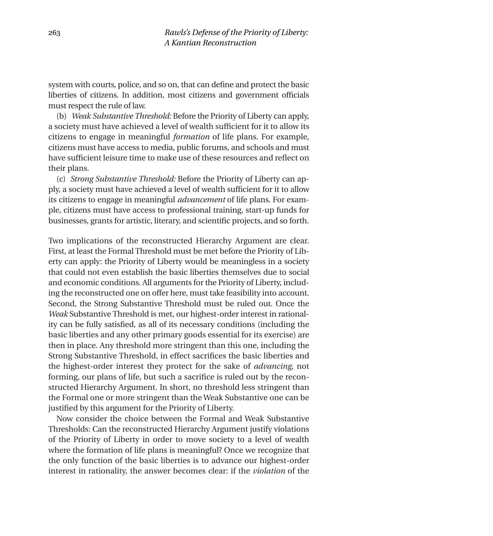system with courts, police, and so on, that can define and protect the basic liberties of citizens. In addition, most citizens and government officials must respect the rule of law.

(b) *Weak Substantive Threshold:* Before the Priority of Liberty can apply, a society must have achieved a level of wealth sufficient for it to allow its citizens to engage in meaningful *formation* of life plans. For example, citizens must have access to media, public forums, and schools and must have sufficient leisure time to make use of these resources and reflect on their plans.

(c) *Strong Substantive Threshold:* Before the Priority of Liberty can apply, a society must have achieved a level of wealth sufficient for it to allow its citizens to engage in meaningful *advancement* of life plans. For example, citizens must have access to professional training, start-up funds for businesses, grants for artistic, literary, and scientific projects, and so forth.

Two implications of the reconstructed Hierarchy Argument are clear. First, at least the Formal Threshold must be met before the Priority of Liberty can apply: the Priority of Liberty would be meaningless in a society that could not even establish the basic liberties themselves due to social and economic conditions. All arguments for the Priority of Liberty, including the reconstructed one on offer here, must take feasibility into account. Second, the Strong Substantive Threshold must be ruled out. Once the *Weak* Substantive Threshold is met, our highest-order interest in rationality can be fully satisfied, as all of its necessary conditions (including the basic liberties and any other primary goods essential for its exercise) are then in place. Any threshold more stringent than this one, including the Strong Substantive Threshold, in effect sacrifices the basic liberties and the highest-order interest they protect for the sake of *advancing*, not forming, our plans of life, but such a sacrifice is ruled out by the reconstructed Hierarchy Argument. In short, no threshold less stringent than the Formal one or more stringent than the Weak Substantive one can be justified by this argument for the Priority of Liberty.

Now consider the choice between the Formal and Weak Substantive Thresholds: Can the reconstructed Hierarchy Argument justify violations of the Priority of Liberty in order to move society to a level of wealth where the formation of life plans is meaningful? Once we recognize that the only function of the basic liberties is to advance our highest-order interest in rationality, the answer becomes clear: if the *violation* of the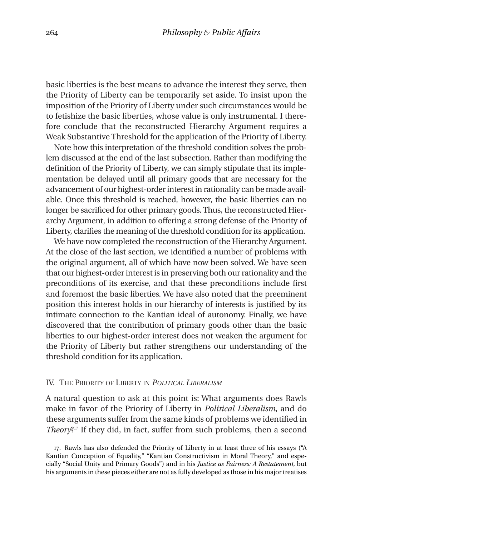basic liberties is the best means to advance the interest they serve, then the Priority of Liberty can be temporarily set aside. To insist upon the imposition of the Priority of Liberty under such circumstances would be to fetishize the basic liberties, whose value is only instrumental. I therefore conclude that the reconstructed Hierarchy Argument requires a Weak Substantive Threshold for the application of the Priority of Liberty.

Note how this interpretation of the threshold condition solves the problem discussed at the end of the last subsection. Rather than modifying the definition of the Priority of Liberty, we can simply stipulate that its implementation be delayed until all primary goods that are necessary for the advancement of our highest-order interest in rationality can be made available. Once this threshold is reached, however, the basic liberties can no longer be sacrificed for other primary goods. Thus, the reconstructed Hierarchy Argument, in addition to offering a strong defense of the Priority of Liberty, clarifies the meaning of the threshold condition for its application.

We have now completed the reconstruction of the Hierarchy Argument. At the close of the last section, we identified a number of problems with the original argument, all of which have now been solved. We have seen that our highest-order interest is in preserving both our rationality and the preconditions of its exercise, and that these preconditions include first and foremost the basic liberties. We have also noted that the preeminent position this interest holds in our hierarchy of interests is justified by its intimate connection to the Kantian ideal of autonomy. Finally, we have discovered that the contribution of primary goods other than the basic liberties to our highest-order interest does not weaken the argument for the Priority of Liberty but rather strengthens our understanding of the threshold condition for its application.

#### IV. THE PRIORITY OF LIBERTY IN *POLITICAL LIBERALISM*

A natural question to ask at this point is: What arguments does Rawls make in favor of the Priority of Liberty in *Political Liberalism*, and do these arguments suffer from the same kinds of problems we identified in *Theory*?<sup>17</sup> If they did, in fact, suffer from such problems, then a second

<sup>17.</sup> Rawls has also defended the Priority of Liberty in at least three of his essays ("A Kantian Conception of Equality," "Kantian Constructivism in Moral Theory," and especially "Social Unity and Primary Goods") and in his *Justice as Fairness: A Restatement*, but his arguments in these pieces either are not as fully developed as those in his major treatises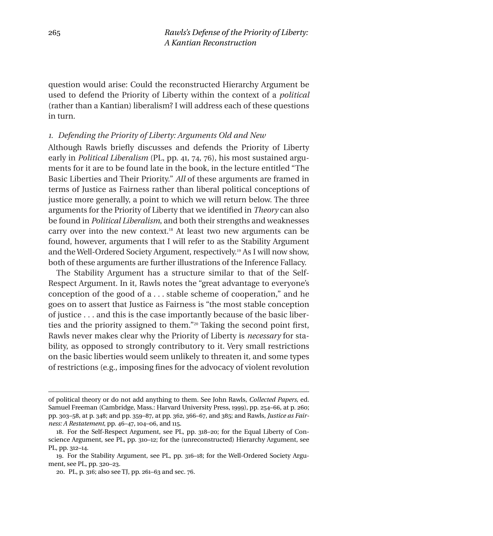question would arise: Could the reconstructed Hierarchy Argument be used to defend the Priority of Liberty within the context of a *political* (rather than a Kantian) liberalism? I will address each of these questions in turn.

## *1. Defending the Priority of Liberty: Arguments Old and New*

Although Rawls briefly discusses and defends the Priority of Liberty early in *Political Liberalism* (PL, pp. 41, 74, 76), his most sustained arguments for it are to be found late in the book, in the lecture entitled "The Basic Liberties and Their Priority." *All* of these arguments are framed in terms of Justice as Fairness rather than liberal political conceptions of justice more generally, a point to which we will return below. The three arguments for the Priority of Liberty that we identified in *Theory* can also be found in *Political Liberalism*, and both their strengths and weaknesses carry over into the new context.<sup>18</sup> At least two new arguments can be found, however, arguments that I will refer to as the Stability Argument and the Well-Ordered Society Argument, respectively.<sup>19</sup> As I will now show, both of these arguments are further illustrations of the Inference Fallacy.

The Stability Argument has a structure similar to that of the Self-Respect Argument. In it, Rawls notes the "great advantage to everyone's conception of the good of a... stable scheme of cooperation," and he goes on to assert that Justice as Fairness is "the most stable conception of justice ... and this is the case importantly because of the basic liberties and the priority assigned to them."<sup>20</sup> Taking the second point first, Rawls never makes clear why the Priority of Liberty is *necessary* for stability, as opposed to strongly contributory to it. Very small restrictions on the basic liberties would seem unlikely to threaten it, and some types of restrictions (e.g., imposing fines for the advocacy of violent revolution

of political theory or do not add anything to them. See John Rawls, *Collected Papers,* ed. Samuel Freeman (Cambridge, Mass.: Harvard University Press, 1999), pp. 254–66, at p. 260; pp. 303–58, at p. 348; and pp. 359–87, at pp. 362, 366–67, and 385; and Rawls, *Justice as Fairness: A Restatement*, pp. 46–47, 104–06, and 115.

<sup>18.</sup> For the Self-Respect Argument, see PL, pp. 318–20; for the Equal Liberty of Conscience Argument, see PL, pp. 310–12; for the (unreconstructed) Hierarchy Argument, see PL, pp. 312–14.

<sup>19.</sup> For the Stability Argument, see PL, pp. 316–18; for the Well-Ordered Society Argument, see PL, pp. 320–23.

<sup>20.</sup> PL, p. 316; also see TJ, pp. 261–63 and sec. 76.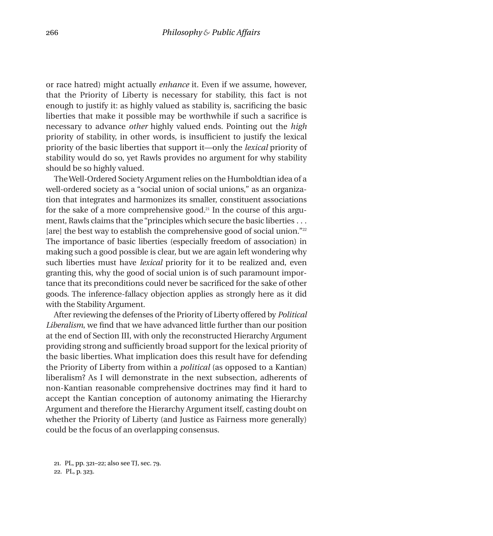or race hatred) might actually *enhance* it. Even if we assume, however, that the Priority of Liberty is necessary for stability, this fact is not enough to justify it: as highly valued as stability is, sacrificing the basic liberties that make it possible may be worthwhile if such a sacrifice is necessary to advance *other* highly valued ends. Pointing out the *high* priority of stability, in other words, is insufficient to justify the lexical priority of the basic liberties that support it—only the *lexical* priority of stability would do so, yet Rawls provides no argument for why stability should be so highly valued.

The Well-Ordered Society Argument relies on the Humboldtian idea of a well-ordered society as a "social union of social unions," as an organization that integrates and harmonizes its smaller, constituent associations for the sake of a more comprehensive good.<sup>21</sup> In the course of this argument, Rawls claims that the "principles which secure the basic liberties . . . [are] the best way to establish the comprehensive good of social union."<sup>22</sup> The importance of basic liberties (especially freedom of association) in making such a good possible is clear, but we are again left wondering why such liberties must have *lexical* priority for it to be realized and, even granting this, why the good of social union is of such paramount importance that its preconditions could never be sacrificed for the sake of other goods. The inference-fallacy objection applies as strongly here as it did with the Stability Argument.

After reviewing the defenses of the Priority of Liberty offered by *Political Liberalism*, we find that we have advanced little further than our position at the end of Section III, with only the reconstructed Hierarchy Argument providing strong and sufficiently broad support for the lexical priority of the basic liberties. What implication does this result have for defending the Priority of Liberty from within a *political* (as opposed to a Kantian) liberalism? As I will demonstrate in the next subsection, adherents of non-Kantian reasonable comprehensive doctrines may find it hard to accept the Kantian conception of autonomy animating the Hierarchy Argument and therefore the Hierarchy Argument itself, casting doubt on whether the Priority of Liberty (and Justice as Fairness more generally) could be the focus of an overlapping consensus.

22. PL, p. 323.

<sup>21.</sup> PL, pp. 321–22; also see TJ, sec. 79.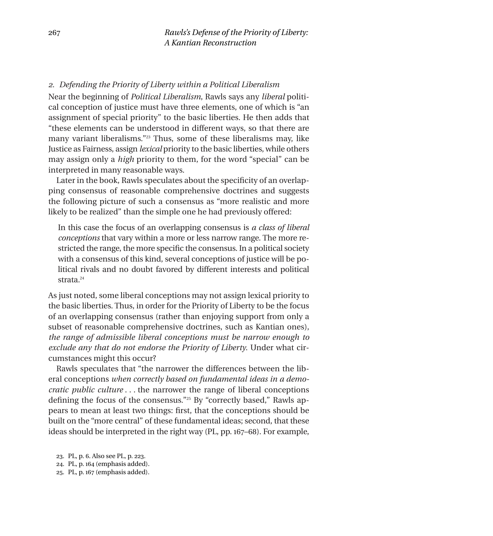## *2. Defending the Priority of Liberty within a Political Liberalism*

Near the beginning of *Political Liberalism*, Rawls says any *liberal* political conception of justice must have three elements, one of which is "an assignment of special priority" to the basic liberties. He then adds that "these elements can be understood in different ways, so that there are many variant liberalisms."<sup>23</sup> Thus, some of these liberalisms may, like Justice as Fairness, assign *lexical* priority to the basic liberties, while others may assign only a *high* priority to them, for the word "special" can be interpreted in many reasonable ways.

Later in the book, Rawls speculates about the specificity of an overlapping consensus of reasonable comprehensive doctrines and suggests the following picture of such a consensus as "more realistic and more likely to be realized" than the simple one he had previously offered:

In this case the focus of an overlapping consensus is *a class of liberal conceptions* that vary within a more or less narrow range. The more restricted the range, the more specific the consensus. In a political society with a consensus of this kind, several conceptions of justice will be political rivals and no doubt favored by different interests and political strata.<sup>24</sup>

As just noted, some liberal conceptions may not assign lexical priority to the basic liberties. Thus, in order for the Priority of Liberty to be the focus of an overlapping consensus (rather than enjoying support from only a subset of reasonable comprehensive doctrines, such as Kantian ones), *the range of admissible liberal conceptions must be narrow enough to exclude any that do not endorse the Priority of Liberty*. Under what circumstances might this occur?

Rawls speculates that "the narrower the differences between the liberal conceptions *when correctly based on fundamental ideas in a democratic public culture* ... the narrower the range of liberal conceptions defining the focus of the consensus."<sup>25</sup> By "correctly based," Rawls appears to mean at least two things: first, that the conceptions should be built on the "more central" of these fundamental ideas; second, that these ideas should be interpreted in the right way (PL, pp. 167–68). For example,

23. PL, p. 6. Also see PL, p. 223.

24. PL, p. 164 (emphasis added).

25. PL, p. 167 (emphasis added).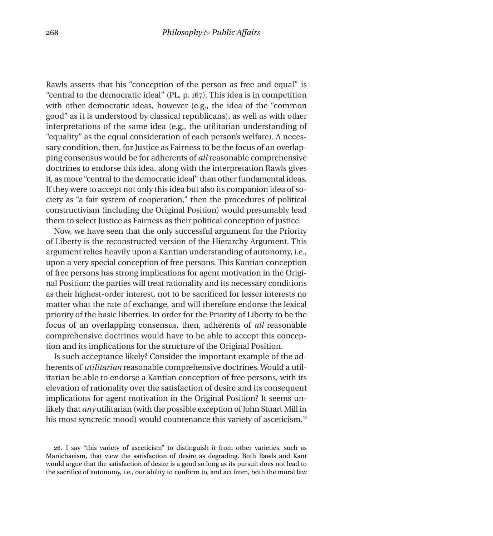Rawls asserts that his "conception of the person as free and equal" is "central to the democratic ideal" (PL, p. 167). This idea is in competition with other democratic ideas, however (e.g., the idea of the "common good" as it is understood by classical republicans), as well as with other interpretations of the same idea (e.g., the utilitarian understanding of "equality" as the equal consideration of each person's welfare). A necessary condition, then, for Justice as Fairness to be the focus of an overlapping consensus would be for adherents of *all* reasonable comprehensive doctrines to endorse this idea, along with the interpretation Rawls gives it, as more "central to the democratic ideal" than other fundamental ideas. If they were to accept not only this idea but also its companion idea of society as "a fair system of cooperation," then the procedures of political constructivism (including the Original Position) would presumably lead them to select Justice as Fairness as their political conception of justice.

Now, we have seen that the only successful argument for the Priority of Liberty is the reconstructed version of the Hierarchy Argument. This argument relies heavily upon a Kantian understanding of autonomy, i.e., upon a very special conception of free persons. This Kantian conception of free persons has strong implications for agent motivation in the Original Position: the parties will treat rationality and its necessary conditions as their highest-order interest, not to be sacrificed for lesser interests no matter what the rate of exchange, and will therefore endorse the lexical priority of the basic liberties. In order for the Priority of Liberty to be the focus of an overlapping consensus, then, adherents of *all* reasonable comprehensive doctrines would have to be able to accept this conception and its implications for the structure of the Original Position.

Is such acceptance likely? Consider the important example of the adherents of *utilitarian* reasonable comprehensive doctrines. Would a utilitarian be able to endorse a Kantian conception of free persons, with its elevation of rationality over the satisfaction of desire and its consequent implications for agent motivation in the Original Position? It seems unlikely that *any* utilitarian (with the possible exception of John Stuart Mill in his most syncretic mood) would countenance this variety of asceticism.<sup>26</sup>

<sup>26.</sup> I say "this variety of asceticism" to distinguish it from other varieties, such as Manichaeism, that view the satisfaction of desire as degrading. Both Rawls and Kant would argue that the satisfaction of desire is a good so long as its pursuit does not lead to the sacrifice of autonomy, i.e., our ability to conform to, and act from, both the moral law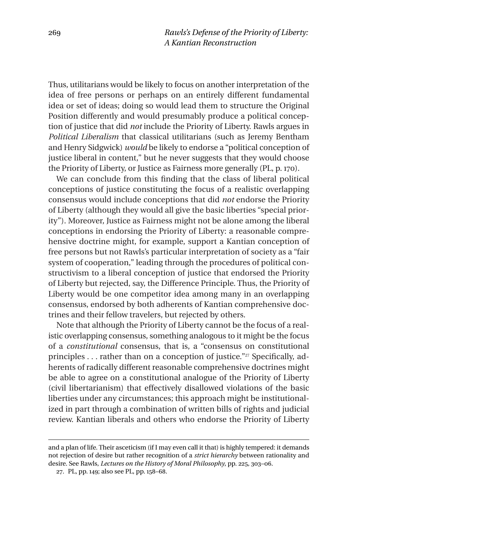Thus, utilitarians would be likely to focus on another interpretation of the idea of free persons or perhaps on an entirely different fundamental idea or set of ideas; doing so would lead them to structure the Original Position differently and would presumably produce a political conception of justice that did *not* include the Priority of Liberty. Rawls argues in *Political Liberalism* that classical utilitarians (such as Jeremy Bentham and Henry Sidgwick) *would* be likely to endorse a "political conception of justice liberal in content," but he never suggests that they would choose the Priority of Liberty, or Justice as Fairness more generally (PL, p. 170).

We can conclude from this finding that the class of liberal political conceptions of justice constituting the focus of a realistic overlapping consensus would include conceptions that did *not* endorse the Priority of Liberty (although they would all give the basic liberties "special priority"). Moreover, Justice as Fairness might not be alone among the liberal conceptions in endorsing the Priority of Liberty: a reasonable comprehensive doctrine might, for example, support a Kantian conception of free persons but not Rawls's particular interpretation of society as a "fair system of cooperation," leading through the procedures of political constructivism to a liberal conception of justice that endorsed the Priority of Liberty but rejected, say, the Difference Principle. Thus, the Priority of Liberty would be one competitor idea among many in an overlapping consensus, endorsed by both adherents of Kantian comprehensive doctrines and their fellow travelers, but rejected by others.

Note that although the Priority of Liberty cannot be the focus of a realistic overlapping consensus, something analogous to it might be the focus of a *constitutional* consensus, that is, a "consensus on constitutional principles . . . rather than on a conception of justice."<sup>27</sup> Specifically, adherents of radically different reasonable comprehensive doctrines might be able to agree on a constitutional analogue of the Priority of Liberty (civil libertarianism) that effectively disallowed violations of the basic liberties under any circumstances; this approach might be institutionalized in part through a combination of written bills of rights and judicial review. Kantian liberals and others who endorse the Priority of Liberty

and a plan of life. Their asceticism (if I may even call it that) is highly tempered: it demands not rejection of desire but rather recognition of a *strict hierarchy* between rationality and desire. See Rawls, *Lectures on the History of Moral Philosophy*, pp. 225, 303–06.

<sup>27.</sup> PL, pp. 149; also see PL, pp. 158–68.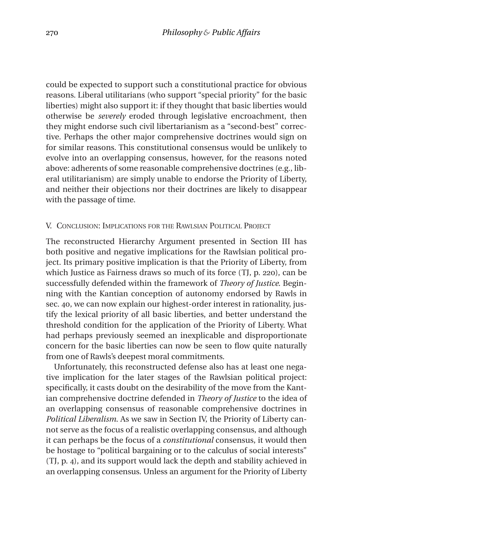could be expected to support such a constitutional practice for obvious reasons. Liberal utilitarians (who support "special priority" for the basic liberties) might also support it: if they thought that basic liberties would otherwise be *severely* eroded through legislative encroachment, then they might endorse such civil libertarianism as a "second-best" corrective. Perhaps the other major comprehensive doctrines would sign on for similar reasons. This constitutional consensus would be unlikely to evolve into an overlapping consensus, however, for the reasons noted above: adherents of some reasonable comprehensive doctrines (e.g., liberal utilitarianism) are simply unable to endorse the Priority of Liberty, and neither their objections nor their doctrines are likely to disappear with the passage of time.

#### V. CONCLUSION: IMPLICATIONS FOR THE RAWLSIAN POLITICAL PROJECT

The reconstructed Hierarchy Argument presented in Section III has both positive and negative implications for the Rawlsian political project. Its primary positive implication is that the Priority of Liberty, from which Justice as Fairness draws so much of its force (TJ, p. 220), can be successfully defended within the framework of *Theory of Justice*. Beginning with the Kantian conception of autonomy endorsed by Rawls in sec. 40, we can now explain our highest-order interest in rationality, justify the lexical priority of all basic liberties, and better understand the threshold condition for the application of the Priority of Liberty. What had perhaps previously seemed an inexplicable and disproportionate concern for the basic liberties can now be seen to flow quite naturally from one of Rawls's deepest moral commitments.

Unfortunately, this reconstructed defense also has at least one negative implication for the later stages of the Rawlsian political project: specifically, it casts doubt on the desirability of the move from the Kantian comprehensive doctrine defended in *Theory of Justice* to the idea of an overlapping consensus of reasonable comprehensive doctrines in *Political Liberalism*. As we saw in Section IV, the Priority of Liberty cannot serve as the focus of a realistic overlapping consensus, and although it can perhaps be the focus of a *constitutional* consensus, it would then be hostage to "political bargaining or to the calculus of social interests" (TJ, p. 4), and its support would lack the depth and stability achieved in an overlapping consensus. Unless an argument for the Priority of Liberty